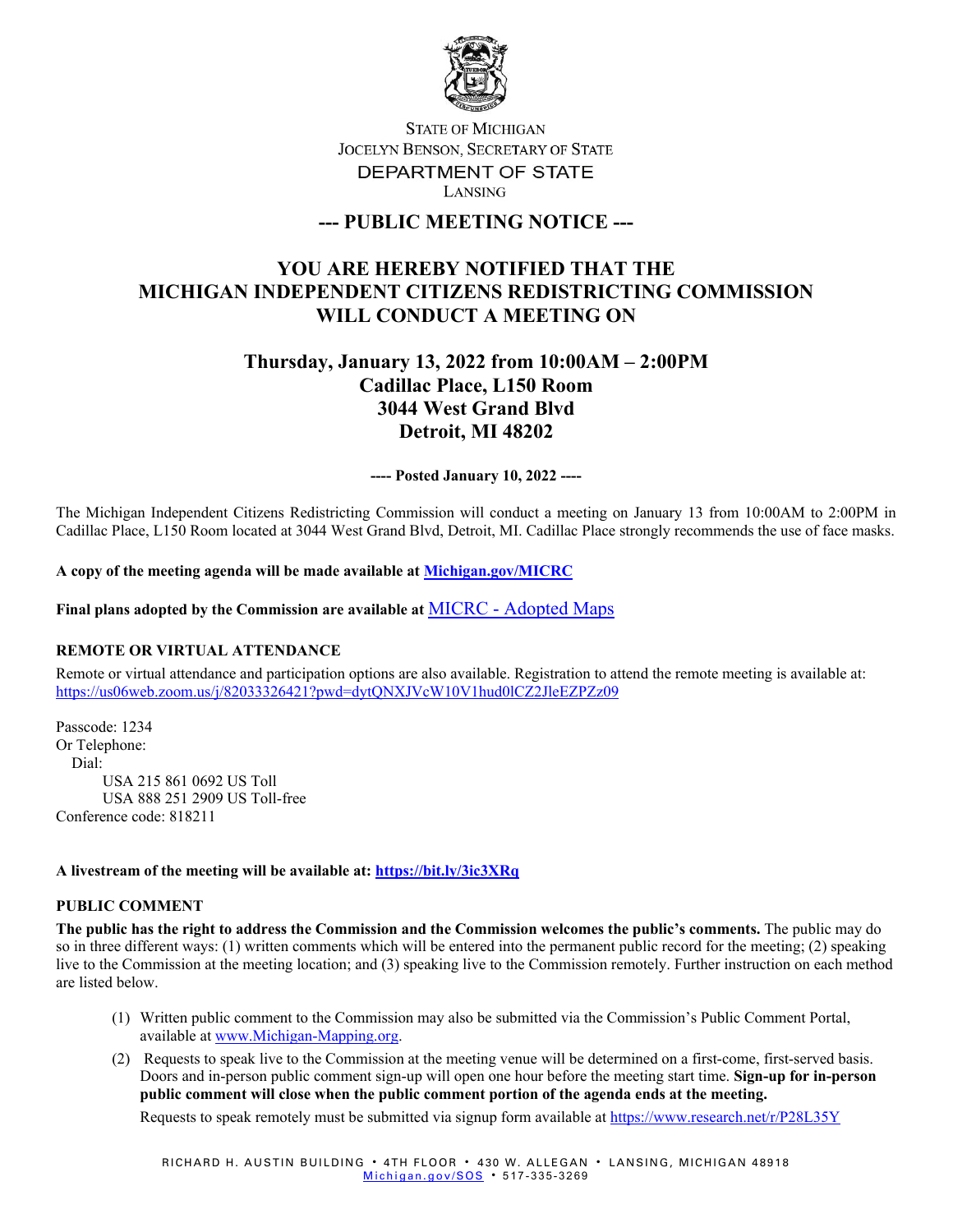

## **STATE OF MICHIGAN** JOCELYN BENSON, SECRETARY OF STATE DEPARTMENT OF STATE LANSING

## **--- PUBLIC MEETING NOTICE ---**

# **YOU ARE HEREBY NOTIFIED THAT THE MICHIGAN INDEPENDENT CITIZENS REDISTRICTING COMMISSION WILL CONDUCT A MEETING ON**

# **Thursday, January 13, 2022 from 10:00AM – 2:00PM Cadillac Place, L150 Room 3044 West Grand Blvd Detroit, MI 48202**

**---- Posted January 10, 2022 ----**

The Michigan Independent Citizens Redistricting Commission will conduct a meeting on January 13 from 10:00AM to 2:00PM in Cadillac Place, L150 Room located at 3044 West Grand Blvd, Detroit, MI. Cadillac Place strongly recommends the use of face masks.

**A copy of the meeting agenda will be made available at [Michigan.gov/MICRC](http://www.michigan.gov/MICRC)**

**Final plans adopted by the Commission are available at** MICRC - [Adopted Maps](https://www.michigan.gov/micrc/0,10083,7-418-107190_108607---,00.html)

### **REMOTE OR VIRTUAL ATTENDANCE**

Remote or virtual attendance and participation options are also available. Registration to attend the remote meeting is available at: <https://us06web.zoom.us/j/82033326421?pwd=dytQNXJVcW10V1hud0lCZ2JleEZPZz09>

Passcode: 1234 Or Telephone: Dial: USA 215 861 0692 US Toll USA 888 251 2909 US Toll-free Conference code: 818211

#### **A livestream of the meeting will be available at:<https://bit.ly/3ic3XRq>**

#### **PUBLIC COMMENT**

**The public has the right to address the Commission and the Commission welcomes the public's comments.** The public may do so in three different ways: (1) written comments which will be entered into the permanent public record for the meeting; (2) speaking live to the Commission at the meeting location; and (3) speaking live to the Commission remotely. Further instruction on each method are listed below.

- (1) Written public comment to the Commission may also be submitted via the Commission's Public Comment Portal, available at [www.Michigan-Mapping.org.](http://www.michigan-mapping.org/)
- (2) Requests to speak live to the Commission at the meeting venue will be determined on a first-come, first-served basis. Doors and in-person public comment sign-up will open one hour before the meeting start time. **Sign-up for in-person public comment will close when the public comment portion of the agenda ends at the meeting.**

Requests to speak remotely must be submitted via signup form available at<https://www.research.net/r/P28L35Y>